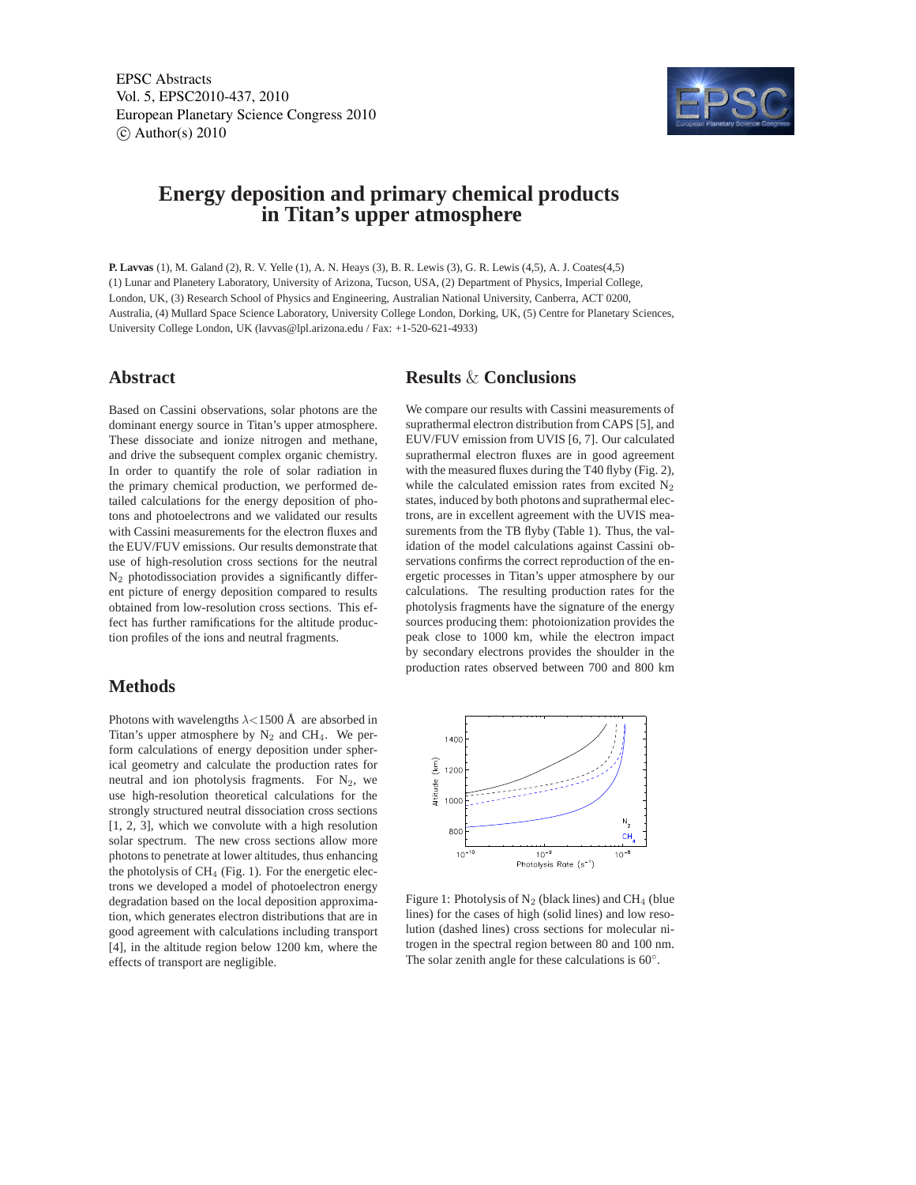EPSC Abstracts Vol. 5, EPSC2010-437, 2010 European Planetary Science Congress 2010  $\circ$  Author(s) 2010



# **Energy deposition and primary chemical products in Titan's upper atmosphere**

**P. Lavvas** (1), M. Galand (2), R. V. Yelle (1), A. N. Heays (3), B. R. Lewis (3), G. R. Lewis (4,5), A. J. Coates(4,5) (1) Lunar and Planetery Laboratory, University of Arizona, Tucson, USA, (2) Department of Physics, Imperial College, London, UK, (3) Research School of Physics and Engineering, Australian National University, Canberra, ACT 0200, Australia, (4) Mullard Space Science Laboratory, University College London, Dorking, UK, (5) Centre for Planetary Sciences, University College London, UK (lavvas@lpl.arizona.edu / Fax: +1-520-621-4933)

### **Abstract**

Based on Cassini observations, solar photons are the dominant energy source in Titan's upper atmosphere. These dissociate and ionize nitrogen and methane, and drive the subsequent complex organic chemistry. In order to quantify the role of solar radiation in the primary chemical production, we performed detailed calculations for the energy deposition of photons and photoelectrons and we validated our results with Cassini measurements for the electron fluxes and the EUV/FUV emissions. Our results demonstrate that use of high-resolution cross sections for the neutral N<sup>2</sup> photodissociation provides a significantly different picture of energy deposition compared to results obtained from low-resolution cross sections. This effect has further ramifications for the altitude production profiles of the ions and neutral fragments.

#### **Methods**

Photons with wavelengths  $\lambda$ <1500 Å are absorbed in Titan's upper atmosphere by  $N_2$  and CH<sub>4</sub>. We perform calculations of energy deposition under spherical geometry and calculate the production rates for neutral and ion photolysis fragments. For  $N_2$ , we use high-resolution theoretical calculations for the strongly structured neutral dissociation cross sections [1, 2, 3], which we convolute with a high resolution solar spectrum. The new cross sections allow more photons to penetrate at lower altitudes, thus enhancing the photolysis of  $CH_4$  (Fig. 1). For the energetic electrons we developed a model of photoelectron energy degradation based on the local deposition approximation, which generates electron distributions that are in good agreement with calculations including transport [4], in the altitude region below 1200 km, where the effects of transport are negligible.

## **Results** & **Conclusions**

We compare our results with Cassini measurements of suprathermal electron distribution from CAPS [5], and EUV/FUV emission from UVIS [6, 7]. Our calculated suprathermal electron fluxes are in good agreement with the measured fluxes during the T40 flyby (Fig. 2), while the calculated emission rates from excited  $N_2$ states, induced by both photons and suprathermal electrons, are in excellent agreement with the UVIS measurements from the TB flyby (Table 1). Thus, the validation of the model calculations against Cassini observations confirms the correct reproduction of the energetic processes in Titan's upper atmosphere by our calculations. The resulting production rates for the photolysis fragments have the signature of the energy sources producing them: photoionization provides the peak close to 1000 km, while the electron impact by secondary electrons provides the shoulder in the production rates observed between 700 and 800 km



Figure 1: Photolysis of  $N_2$  (black lines) and CH<sub>4</sub> (blue lines) for the cases of high (solid lines) and low resolution (dashed lines) cross sections for molecular nitrogen in the spectral region between 80 and 100 nm. The solar zenith angle for these calculations is  $60^\circ$ .